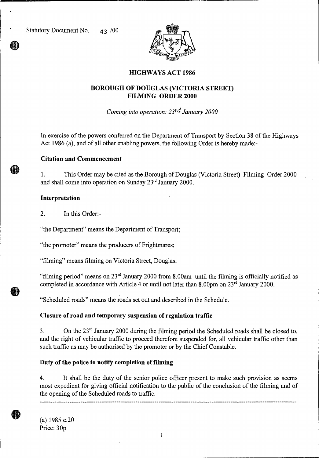

# **HIGHWAYS ACT 1986**

# **BOROUGH OF DOUGLAS (VICTORIA STREET) FILMING ORDER 2000**

*Coming into operation: 23rd January 2000* 

In exercise of the powers conferred on the Department of Transport by Section 38 of the Highways Act 1986 (a), and of all other enabling powers, the following Order is hereby made:-

## **Citation and Commencement**

1. This Order may be cited as the Borough of Douglas (Victoria Street) Filming Order 2000 and shall come into operation on Sunday  $23<sup>rd</sup>$  January 2000.

#### **Interpretation**

2. In this Order:-

"the Department" means the Department of Transport;

"the promoter" means the producers of Frightmares;

"filming" means filming on Victoria Street, Douglas.

"filming period" means on  $23<sup>rd</sup>$  January 2000 from 8.00am until the filming is officially notified as completed in accordance with Article 4 or until not later than  $8.00 \text{pm}$  on  $23^{\text{rd}}$  January 2000.

"Scheduled roads" means the roads set out and described in the Schedule.

### **Closure of road and temporary suspension of regulation traffic**

3. On the  $23<sup>rd</sup>$  January 2000 during the filming period the Scheduled roads shall be closed to, and the right of vehicular traffic to proceed therefore suspended for, all vehicular traffic other than such traffic as may be authorised by the promoter or by the Chief Constable.

## **Duty of the police to notify completion of filming**

4. It shall be the duty of the senior police officer present to make such provision as seems most expedient for giving official notification to the public of the conclusion of the filming and of the opening of the Scheduled roads to traffic.

(a) 1985 c.20 Price: 30p